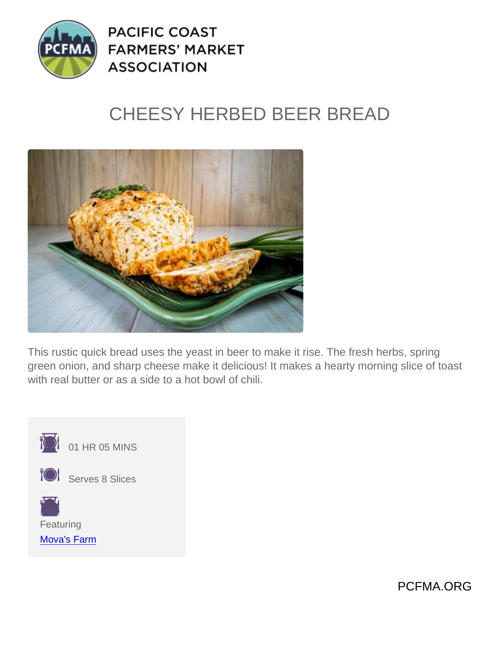## CHEESY HERBED BEER BREAD

This rustic quick bread uses the yeast in beer to make it rise. The fresh herbs, spring green onion, and sharp cheese make it delicious! It makes a hearty morning slice of toast with real butter or as a side to a hot bowl of chili.



 $\overline{101}$  01 HR 05 MINS



**TOI** Serves 8 Slices

Featuring [Mova's Farm](https://www.pcfma.org/vendors/movas-farm)

PCFMA.ORG